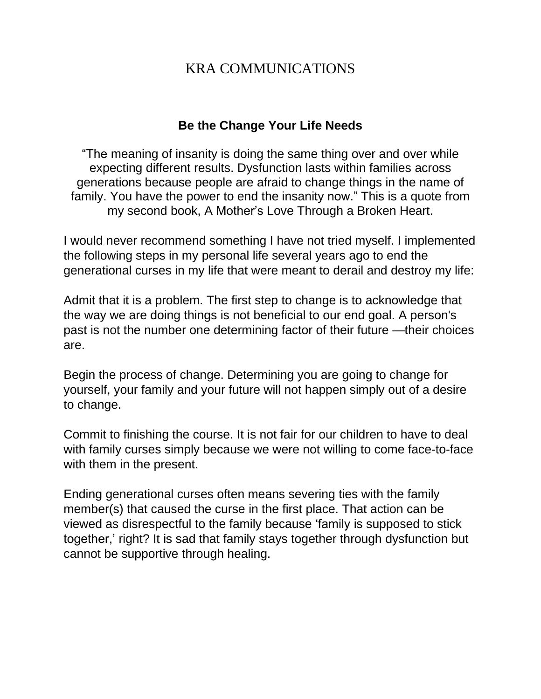# KRA COMMUNICATIONS

### **Be the Change Your Life Needs**

"The meaning of insanity is doing the same thing over and over while expecting different results. Dysfunction lasts within families across generations because people are afraid to change things in the name of family. You have the power to end the insanity now." This is a quote from my second book, A Mother's Love Through a Broken Heart.

I would never recommend something I have not tried myself. I implemented the following steps in my personal life several years ago to end the generational curses in my life that were meant to derail and destroy my life:

Admit that it is a problem. The first step to change is to acknowledge that the way we are doing things is not beneficial to our end goal. A person's past is not the number one determining factor of their future —their choices are.

Begin the process of change. Determining you are going to change for yourself, your family and your future will not happen simply out of a desire to change.

Commit to finishing the course. It is not fair for our children to have to deal with family curses simply because we were not willing to come face-to-face with them in the present.

Ending generational curses often means severing ties with the family member(s) that caused the curse in the first place. That action can be viewed as disrespectful to the family because 'family is supposed to stick together,' right? It is sad that family stays together through dysfunction but cannot be supportive through healing.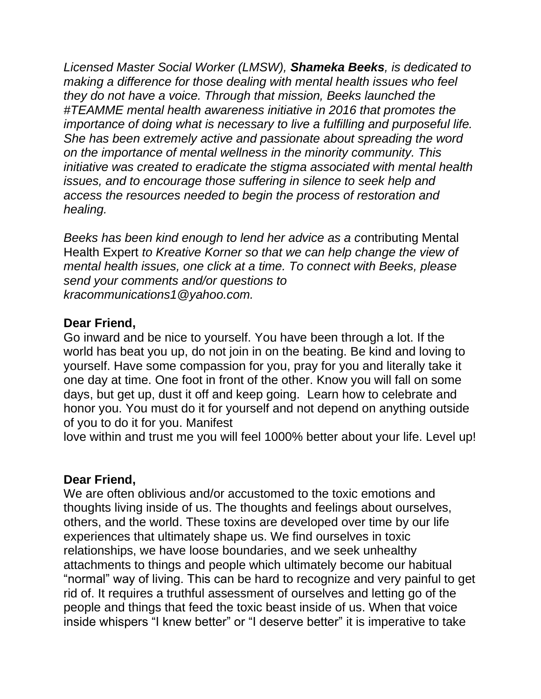*Licensed Master Social Worker (LMSW), Shameka Beeks, is dedicated to making a difference for those dealing with mental health issues who feel they do not have a voice. Through that mission, Beeks launched the #TEAMME mental health awareness initiative in 2016 that promotes the importance of doing what is necessary to live a fulfilling and purposeful life. She has been extremely active and passionate about spreading the word on the importance of mental wellness in the minority community. This initiative was created to eradicate the stigma associated with mental health issues, and to encourage those suffering in silence to seek help and access the resources needed to begin the process of restoration and healing.* 

*Beeks has been kind enough to lend her advice as a c*ontributing Mental Health Expert *to Kreative Korner so that we can help change the view of mental health issues, one click at a time. To connect with Beeks, please send your comments and/or questions to [kracommunications1@yahoo.com.](mailto:kracommunications1@yahoo.com)* 

### **Dear Friend,**

Go inward and be nice to yourself. You have been through a lot. If the world has beat you up, do not join in on the beating. Be kind and loving to yourself. Have some compassion for you, pray for you and literally take it one day at time. One foot in front of the other. Know you will fall on some days, but get up, dust it off and keep going. Learn how to celebrate and honor you. You must do it for yourself and not depend on anything outside of you to do it for you. Manifest

love within and trust me you will feel 1000% better about your life. Level up!

### **Dear Friend,**

We are often oblivious and/or accustomed to the toxic emotions and thoughts living inside of us. The thoughts and feelings about ourselves, others, and the world. These toxins are developed over time by our life experiences that ultimately shape us. We find ourselves in toxic relationships, we have loose boundaries, and we seek unhealthy attachments to things and people which ultimately become our habitual "normal" way of living. This can be hard to recognize and very painful to get rid of. It requires a truthful assessment of ourselves and letting go of the people and things that feed the toxic beast inside of us. When that voice inside whispers "I knew better" or "I deserve better" it is imperative to take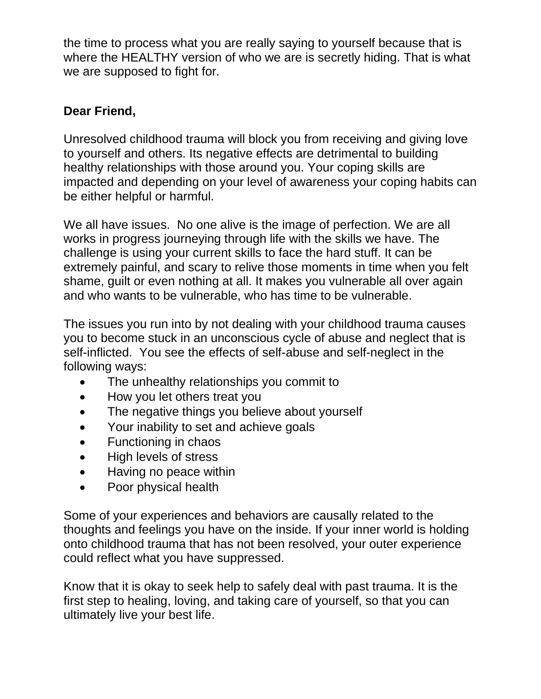the time to process what you are really saying to yourself because that is where the HEALTHY version of who we are is secretly hiding. That is what we are supposed to fight for.

# **Dear Friend,**

Unresolved childhood trauma will block you from receiving and giving love to yourself and others. Its negative effects are detrimental to building healthy relationships with those around you. Your coping skills are impacted and depending on your level of awareness your coping habits can be either helpful or harmful.

We all have issues. No one alive is the image of perfection. We are all works in progress journeying through life with the skills we have. The challenge is using your current skills to face the hard stuff. It can be extremely painful, and scary to relive those moments in time when you felt shame, guilt or even nothing at all. It makes you vulnerable all over again and who wants to be vulnerable, who has time to be vulnerable.

The issues you run into by not dealing with your childhood trauma causes you to become stuck in an unconscious cycle of abuse and neglect that is self-inflicted. You see the effects of self-abuse and self-neglect in the following ways:

- The unhealthy relationships you commit to
- How you let others treat you
- The negative things you believe about yourself
- Your inability to set and achieve goals
- Functioning in chaos
- High levels of stress
- Having no peace within
- Poor physical health

Some of your experiences and behaviors are causally related to the thoughts and feelings you have on the inside. If your inner world is holding onto childhood trauma that has not been resolved, your outer experience could reflect what you have suppressed.

Know that it is okay to seek help to safely deal with past trauma. It is the first step to healing, loving, and taking care of yourself, so that you can ultimately live your best life.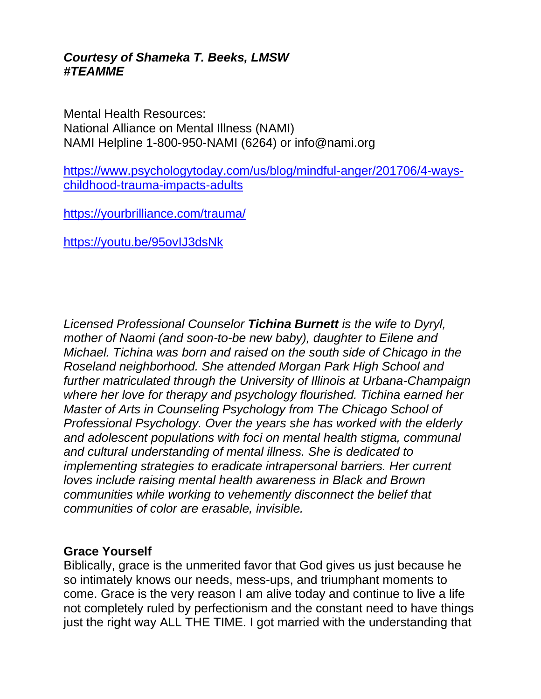### *Courtesy of Shameka T. Beeks, LMSW #TEAMME*

Mental Health Resources: National Alliance on Mental Illness (NAMI) NAMI Helpline 1-800-950-NAMI (6264) or info@nami.org

[https://www.psychologytoday.com/us/blog/mindful-anger/201706/4-ways](https://www.psychologytoday.com/us/blog/mindful-anger/201706/4-ways-childhood-trauma-impacts-adults)[childhood-trauma-impacts-adults](https://www.psychologytoday.com/us/blog/mindful-anger/201706/4-ways-childhood-trauma-impacts-adults)

<https://yourbrilliance.com/trauma/>

<https://youtu.be/95ovIJ3dsNk>

*Licensed Professional Counselor Tichina Burnett is the wife to Dyryl, mother of Naomi (and soon-to-be new baby), daughter to Eilene and Michael. Tichina was born and raised on the south side of Chicago in the Roseland neighborhood. She attended Morgan Park High School and further matriculated through the University of Illinois at Urbana-Champaign where her love for therapy and psychology flourished. Tichina earned her Master of Arts in Counseling Psychology from The Chicago School of Professional Psychology. Over the years she has worked with the elderly and adolescent populations with foci on mental health stigma, communal and cultural understanding of mental illness. She is dedicated to implementing strategies to eradicate intrapersonal barriers. Her current loves include raising mental health awareness in Black and Brown communities while working to vehemently disconnect the belief that communities of color are erasable, invisible.*

#### **Grace Yourself**

Biblically, grace is the unmerited favor that God gives us just because he so intimately knows our needs, mess-ups, and triumphant moments to come. Grace is the very reason I am alive today and continue to live a life not completely ruled by perfectionism and the constant need to have things just the right way ALL THE TIME. I got married with the understanding that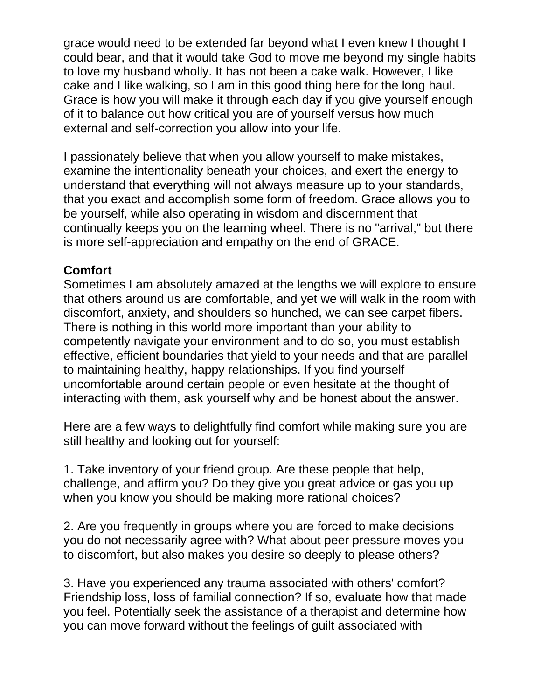grace would need to be extended far beyond what I even knew I thought I could bear, and that it would take God to move me beyond my single habits to love my husband wholly. It has not been a cake walk. However, I like cake and I like walking, so I am in this good thing here for the long haul. Grace is how you will make it through each day if you give yourself enough of it to balance out how critical you are of yourself versus how much external and self-correction you allow into your life.

I passionately believe that when you allow yourself to make mistakes, examine the intentionality beneath your choices, and exert the energy to understand that everything will not always measure up to your standards, that you exact and accomplish some form of freedom. Grace allows you to be yourself, while also operating in wisdom and discernment that continually keeps you on the learning wheel. There is no "arrival," but there is more self-appreciation and empathy on the end of GRACE.

## **Comfort**

Sometimes I am absolutely amazed at the lengths we will explore to ensure that others around us are comfortable, and yet we will walk in the room with discomfort, anxiety, and shoulders so hunched, we can see carpet fibers. There is nothing in this world more important than your ability to competently navigate your environment and to do so, you must establish effective, efficient boundaries that yield to your needs and that are parallel to maintaining healthy, happy relationships. If you find yourself uncomfortable around certain people or even hesitate at the thought of interacting with them, ask yourself why and be honest about the answer.

Here are a few ways to delightfully find comfort while making sure you are still healthy and looking out for yourself:

1. Take inventory of your friend group. Are these people that help, challenge, and affirm you? Do they give you great advice or gas you up when you know you should be making more rational choices?

2. Are you frequently in groups where you are forced to make decisions you do not necessarily agree with? What about peer pressure moves you to discomfort, but also makes you desire so deeply to please others?

3. Have you experienced any trauma associated with others' comfort? Friendship loss, loss of familial connection? If so, evaluate how that made you feel. Potentially seek the assistance of a therapist and determine how you can move forward without the feelings of guilt associated with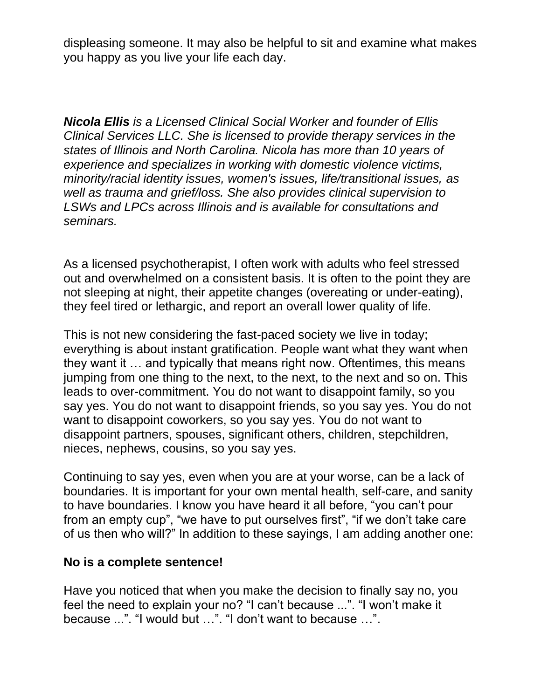displeasing someone. It may also be helpful to sit and examine what makes you happy as you live your life each day.

*Nicola Ellis is a Licensed Clinical Social Worker and founder of Ellis Clinical Services LLC. She is licensed to provide therapy services in the states of Illinois and North Carolina. Nicola has more than 10 years of experience and specializes in working with domestic violence victims, minority/racial identity issues, women's issues, life/transitional issues, as well as trauma and grief/loss. She also provides clinical supervision to LSWs and LPCs across Illinois and is available for consultations and seminars.* 

As a licensed psychotherapist, I often work with adults who feel stressed out and overwhelmed on a consistent basis. It is often to the point they are not sleeping at night, their appetite changes (overeating or under-eating), they feel tired or lethargic, and report an overall lower quality of life.

This is not new considering the fast-paced society we live in today; everything is about instant gratification. People want what they want when they want it … and typically that means right now. Oftentimes, this means jumping from one thing to the next, to the next, to the next and so on. This leads to over-commitment. You do not want to disappoint family, so you say yes. You do not want to disappoint friends, so you say yes. You do not want to disappoint coworkers, so you say yes. You do not want to disappoint partners, spouses, significant others, children, stepchildren, nieces, nephews, cousins, so you say yes.

Continuing to say yes, even when you are at your worse, can be a lack of boundaries. It is important for your own mental health, self-care, and sanity to have boundaries. I know you have heard it all before, "you can't pour from an empty cup", "we have to put ourselves first", "if we don't take care of us then who will?" In addition to these sayings, I am adding another one:

### **No is a complete sentence!**

Have you noticed that when you make the decision to finally say no, you feel the need to explain your no? "I can't because ...". "I won't make it because ...". "I would but …". "I don't want to because …".